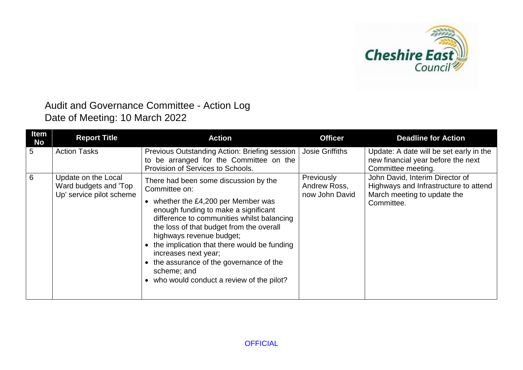

## Audit and Governance Committee - Action Log Date of Meeting: 10 March 2022

| Item<br>No | <b>Report Title</b>                                                      | <b>Action</b>                                                                                                                                                                                                                                                                                                                                                                                                                                 | <b>Officer</b>                               | <b>Deadline for Action</b>                                                                                            |
|------------|--------------------------------------------------------------------------|-----------------------------------------------------------------------------------------------------------------------------------------------------------------------------------------------------------------------------------------------------------------------------------------------------------------------------------------------------------------------------------------------------------------------------------------------|----------------------------------------------|-----------------------------------------------------------------------------------------------------------------------|
| 5          | <b>Action Tasks</b>                                                      | Previous Outstanding Action: Briefing session<br>to be arranged for the Committee on the<br>Provision of Services to Schools.                                                                                                                                                                                                                                                                                                                 | <b>Josie Griffiths</b>                       | Update: A date will be set early in the<br>new financial year before the next<br>Committee meeting.                   |
| 6          | Update on the Local<br>Ward budgets and 'Top<br>Up' service pilot scheme | There had been some discussion by the<br>Committee on:<br>• whether the £4,200 per Member was<br>enough funding to make a significant<br>difference to communities whilst balancing<br>the loss of that budget from the overall<br>highways revenue budget;<br>• the implication that there would be funding<br>increases next year;<br>• the assurance of the governance of the<br>scheme; and<br>• who would conduct a review of the pilot? | Previously<br>Andrew Ross,<br>now John David | John David, Interim Director of<br>Highways and Infrastructure to attend<br>March meeting to update the<br>Committee. |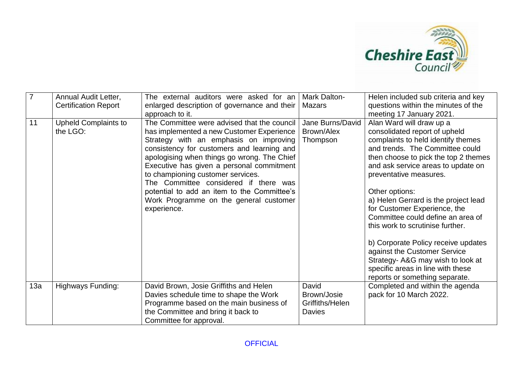

| $\overline{7}$ | Annual Audit Letter,<br><b>Certification Report</b> | The external auditors were asked for an<br>enlarged description of governance and their  <br>approach to it.                                                                                                                                                                                                                                                                                                                                                       | Mark Dalton-<br>Mazars                                   | Helen included sub criteria and key<br>questions within the minutes of the<br>meeting 17 January 2021.                                                                                                                                                                                                                                                                                                                                                                                                                                                                                           |
|----------------|-----------------------------------------------------|--------------------------------------------------------------------------------------------------------------------------------------------------------------------------------------------------------------------------------------------------------------------------------------------------------------------------------------------------------------------------------------------------------------------------------------------------------------------|----------------------------------------------------------|--------------------------------------------------------------------------------------------------------------------------------------------------------------------------------------------------------------------------------------------------------------------------------------------------------------------------------------------------------------------------------------------------------------------------------------------------------------------------------------------------------------------------------------------------------------------------------------------------|
| 11             | <b>Upheld Complaints to</b><br>the LGO:             | The Committee were advised that the council<br>has implemented a new Customer Experience<br>Strategy with an emphasis on improving<br>consistency for customers and learning and<br>apologising when things go wrong. The Chief<br>Executive has given a personal commitment<br>to championing customer services.<br>The Committee considered if there was<br>potential to add an item to the Committee's<br>Work Programme on the general customer<br>experience. | Jane Burns/David<br>Brown/Alex<br>Thompson               | Alan Ward will draw up a<br>consolidated report of upheld<br>complaints to held identify themes<br>and trends. The Committee could<br>then choose to pick the top 2 themes<br>and ask service areas to update on<br>preventative measures.<br>Other options:<br>a) Helen Gerrard is the project lead<br>for Customer Experience, the<br>Committee could define an area of<br>this work to scrutinise further.<br>b) Corporate Policy receive updates<br>against the Customer Service<br>Strategy- A&G may wish to look at<br>specific areas in line with these<br>reports or something separate. |
| 13a            | Highways Funding:                                   | David Brown, Josie Griffiths and Helen<br>Davies schedule time to shape the Work<br>Programme based on the main business of<br>the Committee and bring it back to<br>Committee for approval.                                                                                                                                                                                                                                                                       | David<br>Brown/Josie<br>Griffiths/Helen<br><b>Davies</b> | Completed and within the agenda<br>pack for 10 March 2022.                                                                                                                                                                                                                                                                                                                                                                                                                                                                                                                                       |